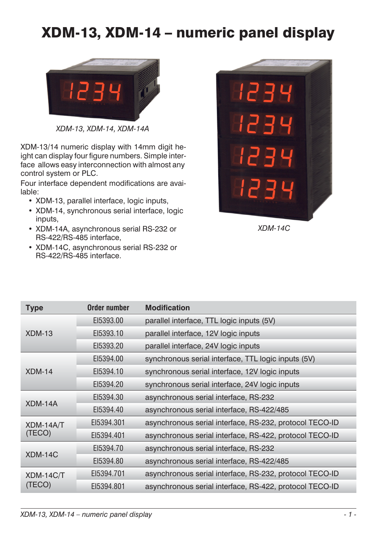# XDM-13, XDM-14 – numeric panel display



*XDM-13, XDM-14, XDM-14A*

XDM-13/14 numeric display with 14mm digit height can display four figure numbers. Simple interface allows easy interconnection with almost any control system or PLC.

Four interface dependent modifications are available:

- XDM-13, parallel interface, logic inputs,
- XDM-14, synchronous serial interface, logic inputs,
- XDM-14A, asynchronous serial RS-232 or RS-422/RS-485 interface,
- XDM-14C, asynchronous serial RS-232 or RS-422/RS-485 interface.



*XDM-14C*

| <b>Type</b>          | Order number                              | <b>Modification</b>                                     |
|----------------------|-------------------------------------------|---------------------------------------------------------|
|                      | EI5393.00                                 | parallel interface, TTL logic inputs (5V)               |
| $XDM-13$             | EI5393.10                                 | parallel interface, 12V logic inputs                    |
|                      | EI5393.20                                 | parallel interface, 24V logic inputs                    |
|                      | EI5394.00                                 | synchronous serial interface, TTL logic inputs (5V)     |
| $XDM-14$             | EI5394.10                                 | synchronous serial interface, 12V logic inputs          |
|                      | EI5394.20                                 | synchronous serial interface, 24V logic inputs          |
|                      | EI5394.30                                 | asynchronous serial interface, RS-232                   |
| XDM-14A<br>EI5394.40 | asynchronous serial interface, RS-422/485 |                                                         |
| XDM-14A/T            | EI5394.301                                | asynchronous serial interface, RS-232, protocol TECO-ID |
| (TECO)               | EI5394.401                                | asynchronous serial interface, RS-422, protocol TECO-ID |
| XDM-14C              | EI5394.70                                 | asynchronous serial interface, RS-232                   |
|                      | EI5394.80                                 | asynchronous serial interface, RS-422/485               |
| XDM-14C/T            | EI5394.701                                | asynchronous serial interface, RS-232, protocol TECO-ID |
| (TECO)               | EI5394.801                                | asynchronous serial interface, RS-422, protocol TECO-ID |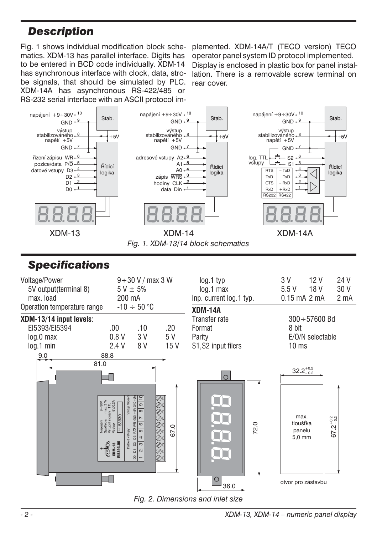### <span id="page-1-0"></span>*Description*

Fig. [1](#page-1-0) shows individual modification block schematics. XDM-13 has parallel interface. Digits has to be entered in BCD code individually. XDM-14 has synchronous interface with clock, data, strobe signals, that should be simulated by PLC. XDM-14A has asynchronous RS-422/485 or RS-232 serial interface with an ASCII protocol im-

plemented. XDM-14A/T (TECO version) TECO operator panel system ID protocol implemented. Display is enclosed in plastic box for panel installation. There is a removable screw terminal on rear cover.



*Fig. [1](#page-1-0). XDM-13/14 block schematics*

### *Specifications*

| Voltage/Power<br>5V output (terminal 8)<br>max. load<br>Operation temperature range | 200 mA                                                                                                                                                                         | $9 \div 30$ V / max 3 W<br>$5V \pm 5%$<br>$-10 \div 50$ °C                                                                                                              |                    | log.1 typ<br>$log.1$ max<br>Inp. current log.1 typ.<br>XDM-14A | 12V<br>3 V<br>5.5V<br>18 V<br>$0.15$ mA $2$ mA                                                             | 24 V<br>30 V<br>2 <sub>m</sub> A |
|-------------------------------------------------------------------------------------|--------------------------------------------------------------------------------------------------------------------------------------------------------------------------------|-------------------------------------------------------------------------------------------------------------------------------------------------------------------------|--------------------|----------------------------------------------------------------|------------------------------------------------------------------------------------------------------------|----------------------------------|
| XDM-13/14 input levels:<br>EI5393/EI5394<br>$log.0$ max<br>$log.1$ min              | .00.<br>0.8V<br>2.4 V                                                                                                                                                          | .10<br>3 V<br>8 V                                                                                                                                                       | .20<br>5 V<br>15 V | Transfer rate<br>Format<br>Parity<br>S1, S2 input filers       | $300 \div 57600$ Bd<br>8 bit<br>E/O/N selectable<br>10 <sub>ms</sub>                                       |                                  |
| 9.0<br>81.0                                                                         | 88.8<br>Vystup Napáj<br>Spotřeba max.3W<br>Vstupní signály TTL<br>Výstup 5V/0.2A<br>$9 + 30V$<br>an 53930<br>Napájení<br>Spotřeba<br>Datové vstupy<br>E15393.00<br><b>2152</b> | ₽<br>$+5V$ GMD $+U$<br>$\overline{\sigma}$<br>$\infty$<br>$rac{1}{2}$<br>₹<br>$\circ$<br>P/D<br>LO<br>S<br>4<br>b <sub>2</sub><br>က<br>5<br>$\sim$<br>8<br>$\mathbf{r}$ | 67.0               | $\circ$<br>72.0<br>O                                           | $32.2^{+0.2}_{-0.2}$<br>max.<br>$67.2^{+0.2}_{-0.2}$<br>tloušťka<br>panelu<br>5,0 mm<br>otvor pro zástavbu |                                  |

*Fig. 2. Dimensions and inlet size*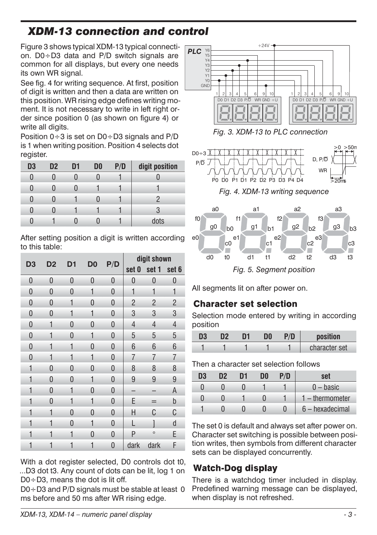## <span id="page-2-0"></span>*XDM-13 connection and control*

Figure [3](#page-2-0) shows typical XDM-13 typical connection.  $D0 \div D3$  data and P/D switch signals are common for all displays, but every one needs its own WR signal.

See fig. [4](#page-2-0) for writing sequence. At first, position of digit is written and then a data are written on this position. WR rising edge defines writing moment. It is not necessary to write in left right order since position 0 (as shown on figure [4](#page-2-0)) or write all digits.

Position  $0 \div 3$  is set on  $D0 \div D3$  signals and  $P/D$ is 1 when writing position. Position 4 selects dot register.

| D <sub>3</sub> | D <sub>2</sub> | D1 | D0 | P/D | digit position |
|----------------|----------------|----|----|-----|----------------|
| 0              |                |    |    |     |                |
| O              |                |    |    |     |                |
| N              |                |    |    |     |                |
| 0              |                |    |    |     | 3              |
|                |                |    |    |     | dots           |

After setting position a digit is written according to this table:

| D3           | D <sub>2</sub> | D <sub>1</sub> | D <sub>0</sub> | P/D      |                | digit shown    |                |  |  |
|--------------|----------------|----------------|----------------|----------|----------------|----------------|----------------|--|--|
|              |                |                |                |          | set 0          | set 1          | set 6          |  |  |
| 0            | 0              | $\mathbf{0}$   | 0              | 0        | 0              | $\overline{0}$ | 0              |  |  |
| 0            | 0              | $\bf{0}$       | 1              | 0        | 1              | 1              | 1              |  |  |
| 0            | 0              | 1              | 0              | 0        | $\overline{c}$ | $\overline{2}$ | $\overline{2}$ |  |  |
| 0            | 0              | 1              | 1              | 0        | 3              | 3              | 3              |  |  |
| 0            | 1              | 0              | 0              | 0        | $\overline{4}$ | $\overline{4}$ | $\overline{4}$ |  |  |
| 0            | 1              | 0              | 1              | 0        | 5              | 5              | 5              |  |  |
| 0            | 1              | 1              | 0              | 0        | 6              | 6              | 6              |  |  |
| $\mathbf{0}$ | 1              | 1              | 1              | 0        | 7              | 7              | 7              |  |  |
| 1            | 0              | 0              | 0              | 0        | 8              | 8              | 8              |  |  |
| 1            | 0              | 0              | 1              | 0        | 9              | 9              | 9              |  |  |
| 1            | 0              | 1              | 0              | 0        |                |                | Α              |  |  |
| 1            | 0              | 1              | 1              | 0        | E              | =              | þ              |  |  |
| 1            | 1              | $\bf{0}$       | 0              | $\bf{0}$ | Η              | C              | C              |  |  |
| 1            | 1              | 0              | 1              | 0        | L              | 1              | d              |  |  |
| 1            | 1              | 1              | 0              | 0        | P              | $\circ$        | E              |  |  |
| 1            | 1              | 1              | 1              | 0        | dark           | dark           | F              |  |  |

With a dot register selected, D0 controls dot t0, ...D3 dot t3. Any count of dots can be lit, log 1 on D0÷D3, means the dot is lit off.

 $D0 \div D3$  and P/D signals must be stable at least 0 ms before and 50 ms after WR rising edge.



*Fig. [3.](#page-2-0) XDM-13 to PLC connection*



*Fig. [4](#page-2-0). XDM-13 writing sequence*



All segments lit on after power on.

### **Character set selection**

Selection mode entered by writing in according position

| יח | 1ה | חר | sition        |
|----|----|----|---------------|
|    |    |    | character set |

Then a character set selection follows

| D3 | פח | D1 | DO | P/D | set               |
|----|----|----|----|-----|-------------------|
|    |    |    |    |     | $-$ basic         |
|    |    |    |    |     | $1$ – thermometer |
|    |    |    |    |     | 6 - hexadecimal   |

The set 0 is default and always set after power on. Character set switching is possible between position writes, then symbols from different character sets can be displayed concurrently.

### **Watch-Dog display**

There is a watchdog timer included in display. Predefined warning message can be displayed, when display is not refreshed.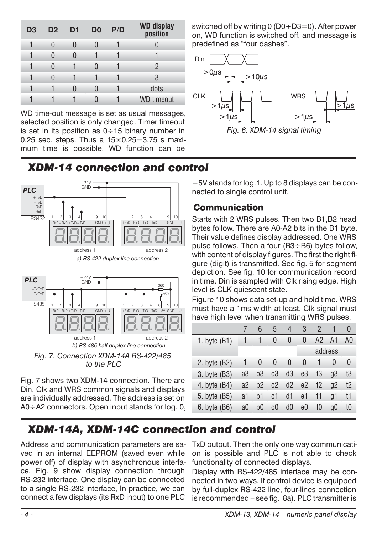<span id="page-3-0"></span>

| D <sub>3</sub> | D <sub>2</sub> | D <sub>1</sub> | D <sub>0</sub> | P/D | WD display<br>position |
|----------------|----------------|----------------|----------------|-----|------------------------|
|                |                |                |                |     |                        |
|                |                |                |                |     |                        |
|                |                |                |                |     | 2                      |
|                |                |                |                |     | 3                      |
|                |                |                |                |     | dots                   |
|                |                |                |                |     | <b>WD</b> timeout      |

WD time-out message is set as usual messages, selected position is only changed. Timer timeout is set in its position as  $0 \div 15$  binary number in 0.25 sec. steps. Thus a  $15\times0.25=3.75$  s maximum time is possible. WD function can be switched off by writing 0 ( $D0 \div D3=0$ ). After power on, WD function is switched off, and message is predefined as "four dashes".



### *XDM-14 connection and control*



*b) RS-485 half duplex line connection Fig. 7. Connection XDM-14A RS-422/485 to the PLC*

Fig. [7](#page-3-0) shows two XDM-14 connection. There are Din, Clk and WRS common signals and displays are individually addressed. The address is set on A0÷A2 connectors. Open input stands for log. 0,

+5V stands for log.1. Up to 8 displays can be connected to single control unit.

### **Communication**

Starts with 2 WRS pulses. Then two B1,B2 head bytes follow. There are A0-A2 bits in the B1 byte. Their value defines display addressed. One WRS pulse follows. Then a four (B3÷B6) bytes follow, with content of display figures. The first the right figure (digit) is transmitted. See fig. [5](#page-2-0) for segment depiction. See fig. [10](#page-4-0) for communication record in time. Din is sampled with Clk rising edge. High level is CLK quiescent state.

Figure [10](#page-4-0) shows data set-up and hold time. WRS must have a 1ms width at least. Clk signal must have high level when transmitting WRS pulses.

|                |    | 6  | 5  | 4              | 3              | $\mathcal{P}$ |          |          |
|----------------|----|----|----|----------------|----------------|---------------|----------|----------|
| 1. byte $(B1)$ |    |    | 0  | 0              | 0              | A2            | A1       | A0       |
|                |    |    |    |                |                |               | address  |          |
| 2. byte (B2)   |    | 0  | 0  | 0              | 0              |               | $\Omega$ | $\theta$ |
| 3. byte (B3)   | a3 | b3 | c3 | d3             | e3             | f3            | q3       | t3       |
| 4. byte (B4)   | a2 | b2 | c2 | d2             | e <sub>2</sub> | f2            | q2       | t2       |
| 5. byte (B5)   | a1 | b1 | c1 | d1             | e1             | f1            | q1       | t1       |
| 6. byte (B6)   | a0 | b0 | c0 | d <sub>0</sub> | e0             | f0            | q0       | t0       |

## *XDM-14A, XDM-14C connection and control*

Address and communication parameters are saved in an internal EEPROM (saved even while power off) of display with asynchronous interface. Fig. [9](#page-4-0) show display connection through RS-232 interface. One display can be connected to a single RS-232 interface, In practice, we can connect a few displays (its RxD input) to one PLC

TxD output. Then the only one way communication is possible and PLC is not able to check functionality of connected displays.

Display with RS-422/485 interface may be connected in two ways. If control device is equipped by full-duplex RS-422 line, four-lines connection is recommended – see fig. [8a](#page-4-0)). PLC transmitter is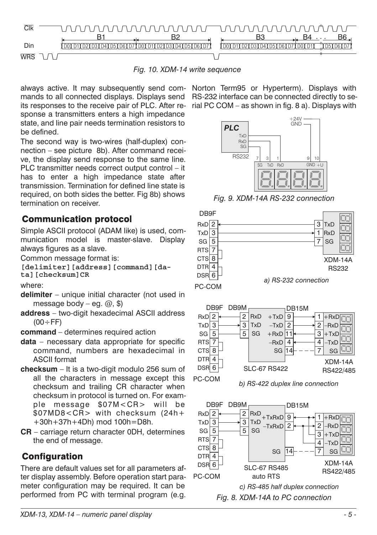<span id="page-4-0"></span>

*Fig. 10. XDM-14 write sequence*

always active. It may subsequently send com-Norton Term95 or Hyperterm). Displays with its responses to the receive pair of PLC. After re-rial PC COM – as shown in fig. [8](#page-4-0) a). Displays with sponse a transmitters enters a high impedance state, and line pair needs termination resistors to be defined.

The second way is two-wires (half-duplex) connection – see picture [8](#page-4-0)b). After command receive, the display send response to the same line. PLC transmitter needs correct output control – it has to enter a high impedance state after transmission. Termination for defined line state is required, on both sides the better. Fig [8b](#page-4-0)) shows termination on receiver.

#### **Communication protocol**

Simple ASCII protocol (ADAM like) is used, communication model is master-slave. Display always figures as a slave.

Common message format is:

**[delimiter][address][command][data][checksum]CR**

where:

- **delimiter** unique initial character (not used in message body – eg.  $(2, 5)$
- **address** two-digit hexadecimal ASCII address  $(00 \div FF)$
- **command** determines required action
- **data** necessary data appropriate for specific command, numbers are hexadecimal in ASCII format
- **checksum** It is a two-digit modulo 256 sum of all the characters in message except this checksum and trailing CR character when checksum in protocol is turned on. For example message \$07M<CR> will be \$07MD8<CR> with checksum (24h+ +30h+37h+4Dh) mod 100h=D8h.
- **CR** carriage return character 0DH, determines the end of message.

#### **Configuration**

There are default values set for all parameters after display assembly. Before operation start parameter configuration may be required. It can be performed from PC with terminal program (e.g.

mands to all connected displays. Displays send RS-232 interface can be connected directly to se-



*Fig. 9. XDM-14A RS-232 connection*







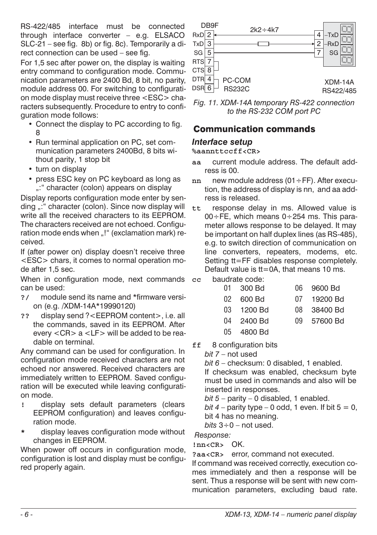<span id="page-5-0"></span>RS-422/485 interface must be connected through interface converter – e.g. ELSACO SLC-21 – see fig. [8](#page-4-0)b) or fig. [8](#page-4-0)c). Temporarily a direct connection can be used – see fig.

For 1,5 sec after power on, the display is waiting entry command to configuration mode. Communication parameters are 2400 Bd, 8 bit, no parity, module address 00. For switching to configuration mode display must receive three <ESC> characters subsequently. Procedure to entry to configuration mode follows:

- Connect the display to PC according to fig. [8](#page-4-0)
- Run terminal application on PC, set communication parameters 2400Bd, 8 bits without parity, 1 stop bit
- turn on display
- press ESC key on PC keyboard as long as ..: " character (colon) appears on display

Display reports configuration mode enter by sending ..." character (colon). Since now display will write all the received characters to its EEPROM. The characters received are not echoed. Configuration mode ends when "!" (exclamation mark) received.

If (after power on) display doesn't receive three <ESC> chars, it comes to normal operation mode after 1,5 sec.

When in configuration mode, next commands can be used:

- **?/** module send its name and \*firmware version (e.g. /XDM-14A\*19990120)
- **??** display send ?<EEPROM content>, i.e. all the commands, saved in its EEPROM. After every <CR> a <LF> will be added to be readable on terminal.

Any command can be used for configuration. In configuration mode received characters are not echoed nor answered. Received characters are immediately written to EEPROM. Saved configuration will be executed while leaving configuration mode.

- **!** display sets default parameters (clears EEPROM configuration) and leaves configuration mode.
- **\*** display leaves configuration mode without changes in EEPROM.

When power off occurs in configuration mode, configuration is lost and display must be configured properly again.



*Fig. 11. XDM-14A temporary RS-422 connection to the RS-232 COM port PC*

#### **Communication commands**

#### *Interface setup*

**%aannttccff<CR>**

- **aa** current module address. The default address is 00.
- **nn** new module address (01÷FF). After execution, the address of display is nn, and aa address is released.
- **tt** response delay in ms. Allowed value is  $00 \div FE$ , which means  $0 \div 254$  ms. This parameter allows response to be delayed. It may be important on half duplex lines (as RS-485), e.g. to switch direction of communication on line converters, repeaters, modems, etc. Setting tt=FF disables response completely. Default value is tt=0A, that means 10 ms.
- **cc** baudrate code:

| 01 300 Bd  | 06 9600 Bd  |
|------------|-------------|
| 02 600 Bd  | 07 19200 Bd |
| 03 1200 Bd | 08 38400 Bd |
| 04 2400 Bd | 09 57600 Bd |
| 05 4800 Bd |             |

**ff** 8 configuration bits

*bit 7* – not used

*bit 6* – checksum: 0 disabled, 1 enabled.

If checksum was enabled, checksum byte must be used in commands and also will be inserted in responses.

*bit 5* – parity – 0 disabled, 1 enabled.

*bit 4* – parity type – 0 odd, 1 even. If bit  $5 = 0$ , bit 4 has no meaning.

*bits* 3÷0 – not used.

*Response:*

**!nn<CR>** OK.

**?aa<CR>** error, command not executed.

If command was received correctly, execution comes immediately and then a response will be sent. Thus a response will be sent with new communication parameters, excluding baud rate.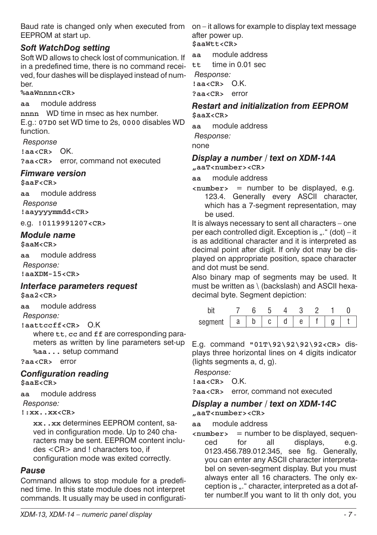Baud rate is changed only when executed from EEPROM at start up.

#### *Soft WatchDog setting*

Soft WD allows to check lost of communication. If in a predefined time, there is no command received, four dashes will be displayed instead of number.

#### **%aaWnnnn<CR>**

**aa** module address

**nnnn** WD time in msec as hex number. E.g.: **07D0** set WD time to 2s, **0000** disables WD function.

*Response*

**!aa<CR>** OK.

**?aa<CR>** error, command not executed

#### *Fimware version*

**\$aaF<CR>**

**aa** module address

*Response* **!aayyyymmdd<CR>**

e.g. **!0119991207<CR>**

### *Module name*

**\$aaM<CR>**

**aa** module address *Response:* **!aaXDM-15<CR>**

#### *Interface parameters request* **\$aa2<CR>**

**aa** module address

*Response:*

**!aattccff<CR>** O.K

where **tt**, **cc** and **ff** are corresponding parameters as written by line parameters set-up **%aa...** setup command

**?aa<CR>** error

### *Configuration reading*

**\$aaE<CR>**

**aa** module address

*Response:*

**!:xx..xx<CR>**

**xx..xx** determines EEPROM content, saved in configuration mode. Up to 240 characters may be sent. EEPROM content includes <CR> and ! characters too, if configuration mode was exited correctly.

#### *Pause*

Command allows to stop module for a predefined time. In this state module does not interpret commands. It usually may be used in configurati-

on – it allows for example to display text message after power up.

**\$aaWtt<CR>**

**aa** module address

**tt** time in 0.01 sec

*Response:*

**!aa<CR>** O.K. **?aa<CR>** error

#### *Restart and initialization from EEPROM* **\$aaX<CR>**

**aa** module address

*Response:*

none

#### *Display a number / text on XDM-14A* **"aaT<number><CR>**

**aa** module address

**<number>** = number to be displayed, e.g. 123.4. Generally every ASCII character, which has a 7-segment representation, may be used.

It is always necessary to sent all characters – one per each controlled digit. Exception is  $...$  " (dot) – it is as additional character and it is interpreted as decimal point after digit. If only dot may be displayed on appropriate position, space character and dot must be send.

Also binary map of segments may be used. It must be written as \ (backslash) and ASCII hexadecimal byte. Segment depiction:

| conmon<br>эı<br>∼ອ⊓ບບ⊾ | u | ՝ | u |  |  |
|------------------------|---|---|---|--|--|

E.g. command **"01T\92\92\92\92<CR>** displays three horizontal lines on 4 digits indicator (lights segments a, d, g).

*Response:*

**!aa<CR>** O.K.

**?aa<CR>** error, command not executed

*Display a number / text on XDM-14C* **"aaT<number><CR>**

**aa** module address

**<number>** = number to be displayed, sequenced for all displays, e.g. 0123.456.789.012.345, see fig. Generally, you can enter any ASCII character interpretabel on seven-segment display. But you must always enter all 16 characters. The only exception is "." character, interpreted as a dot after number.If you want to lit th only dot, you